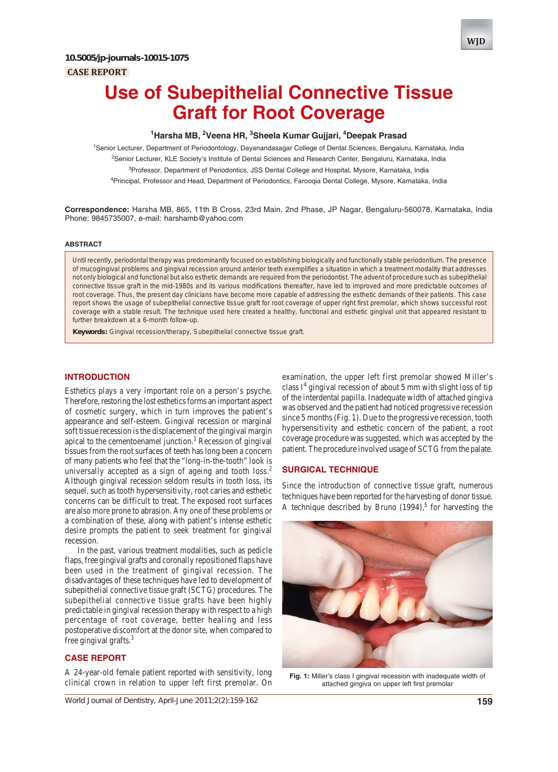# **Use of Subepithelial Connective Tissue Graft for Root Coverage**

# **1 Harsha MB, 2 Veena HR, 3 Sheela Kumar Gujjari, 4 Deepak Prasad**

1 Senior Lecturer, Department of Periodontology, Dayanandasagar College of Dental Sciences, Bengaluru, Karnataka, India <sup>2</sup>Senior Lecturer, KLE Society's Institute of Dental Sciences and Research Center, Bengaluru, Karnataka, India <sup>3</sup>Professor, Department of Periodontics, JSS Dental College and Hospital, Mysore, Karnataka, India 4 Principal, Professor and Head, Department of Periodontics, Farooqia Dental College, Mysore, Karnataka, India

**Correspondence:** Harsha MB, 865, 11th B Cross, 23rd Main, 2nd Phase, JP Nagar, Bengaluru-560078, Karnataka, India Phone: 9845735007, e-mail: harshamb@yahoo.com

#### **ABSTRACT**

Until recently, periodontal therapy was predominantly focused on establishing biologically and functionally stable periodontium. The presence of mucogingival problems and gingival recession around anterior teeth exemplifies a situation in which a treatment modality that addresses not only biological and functional but also esthetic demands are required from the periodontist. The advent of procedure such as subepithelial connective tissue graft in the mid-1980s and its various modifications thereafter, have led to improved and more predictable outcomes of root coverage. Thus, the present day clinicians have become more capable of addressing the esthetic demands of their patients. This case report shows the usage of subepithelial connective tissue graft for root coverage of upper right first premolar, which shows successful root coverage with a stable result. The technique used here created a healthy, functional and esthetic gingival unit that appeared resistant to further breakdown at a 6-month follow-up.

**Keywords:** Gingival recession/therapy, Subepithelial connective tissue graft.

## **INTRODUCTION**

Esthetics plays a very important role on a person's psyche. Therefore, restoring the lost esthetics forms an important aspect of cosmetic surgery, which in turn improves the patient's appearance and self-esteem. Gingival recession or marginal soft tissue recession is the displacement of the gingival margin apical to the cementoenamel junction.<sup>1</sup> Recession of gingival tissues from the root surfaces of teeth has long been a concern of many patients who feel that the "long-in-the-tooth" look is universally accepted as a sign of ageing and tooth loss.<sup>2</sup> Although gingival recession seldom results in tooth loss, its sequel, such as tooth hypersensitivity, root caries and esthetic concerns can be difficult to treat. The exposed root surfaces are also more prone to abrasion. Any one of these problems or a combination of these, along with patient's intense esthetic desire prompts the patient to seek treatment for gingival recession.

In the past, various treatment modalities, such as pedicle flaps, free gingival grafts and coronally repositioned flaps have been used in the treatment of gingival recession. The disadvantages of these techniques have led to development of subepithelial connective tissue graft (SCTG) procedures. The subepithelial connective tissue grafts have been highly predictable in gingival recession therapy with respect to a high percentage of root coverage, better healing and less postoperative discomfort at the donor site, when compared to free gingival grafts.3

#### **CASE REPORT**

A 24-year-old female patient reported with sensitivity, long clinical crown in relation to upper left first premolar. On

examination, the upper left first premolar showed Miller's class  $I<sup>4</sup>$  gingival recession of about 5 mm with slight loss of tip of the interdental papilla. Inadequate width of attached gingiva was observed and the patient had noticed progressive recession since 5 months (Fig. 1). Due to the progressive recession, tooth hypersensitivity and esthetic concern of the patient, a root coverage procedure was suggested, which was accepted by the patient. The procedure involved usage of SCTG from the palate.

#### **SURGICAL TECHNIQUE**

Since the introduction of connective tissue graft, numerous techniques have been reported for the harvesting of donor tissue. A technique described by Bruno  $(1994)$ ,<sup>5</sup> for harvesting the



**Fig. 1:** Miller's class I gingival recession with inadequate width of attached gingiva on upper left first premolar

*World Journal of Dentistry, April-June 2011;2(2):159-162* **159**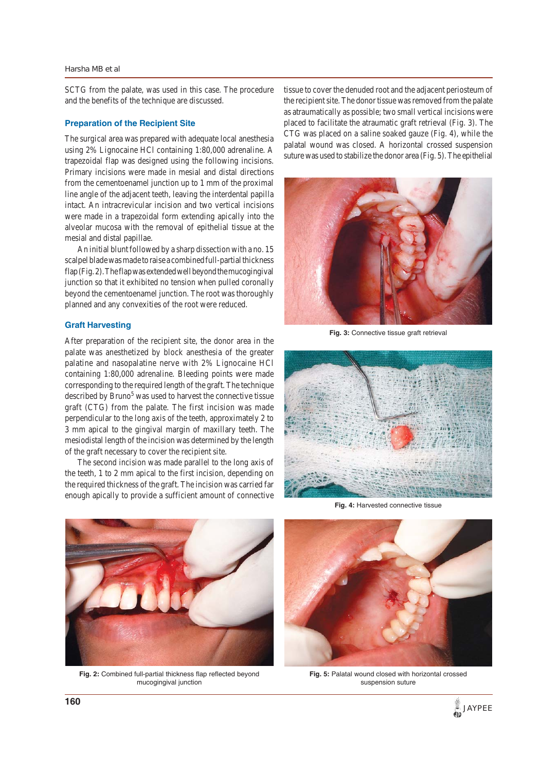#### *Harsha MB et al*

SCTG from the palate, was used in this case. The procedure and the benefits of the technique are discussed.

#### **Preparation of the Recipient Site**

The surgical area was prepared with adequate local anesthesia using 2% Lignocaine HCl containing 1:80,000 adrenaline. A trapezoidal flap was designed using the following incisions. Primary incisions were made in mesial and distal directions from the cementoenamel junction up to 1 mm of the proximal line angle of the adjacent teeth, leaving the interdental papilla intact. An intracrevicular incision and two vertical incisions were made in a trapezoidal form extending apically into the alveolar mucosa with the removal of epithelial tissue at the mesial and distal papillae.

An initial blunt followed by a sharp dissection with a no. 15 scalpel blade was made to raise a combined full-partial thickness flap (Fig. 2). The flap was extended well beyond the mucogingival junction so that it exhibited no tension when pulled coronally beyond the cementoenamel junction. The root was thoroughly planned and any convexities of the root were reduced.

#### **Graft Harvesting**

After preparation of the recipient site, the donor area in the palate was anesthetized by block anesthesia of the greater palatine and nasopalatine nerve with 2% Lignocaine HCl containing 1:80,000 adrenaline. Bleeding points were made corresponding to the required length of the graft. The technique described by Bruno<sup>5</sup> was used to harvest the connective tissue graft (CTG) from the palate. The first incision was made perpendicular to the long axis of the teeth, approximately 2 to 3 mm apical to the gingival margin of maxillary teeth. The mesiodistal length of the incision was determined by the length of the graft necessary to cover the recipient site.

The second incision was made parallel to the long axis of the teeth, 1 to 2 mm apical to the first incision, depending on the required thickness of the graft. The incision was carried far enough apically to provide a sufficient amount of connective

tissue to cover the denuded root and the adjacent periosteum of the recipient site. The donor tissue was removed from the palate as atraumatically as possible; two small vertical incisions were placed to facilitate the atraumatic graft retrieval (Fig. 3). The CTG was placed on a saline soaked gauze (Fig. 4), while the palatal wound was closed. A horizontal crossed suspension suture was used to stabilize the donor area (Fig. 5). The epithelial



**Fig. 3:** Connective tissue graft retrieval



Fig. 4: Harvested connective tissue



**Fig. 2:** Combined full-partial thickness flap reflected beyond mucogingival junction



**Fig. 5:** Palatal wound closed with horizontal crossed suspension suture

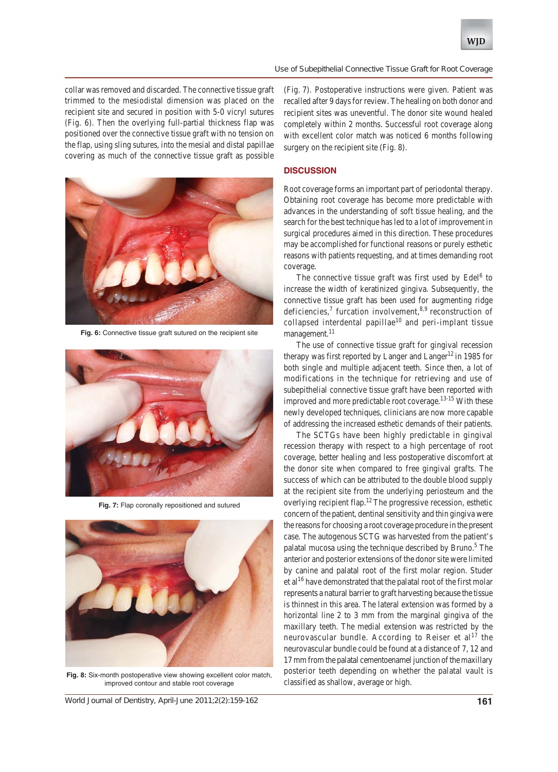#### *Use of Subepithelial Connective Tissue Graft for Root Coverage*

collar was removed and discarded. The connective tissue graft trimmed to the mesiodistal dimension was placed on the recipient site and secured in position with 5-0 vicryl sutures (Fig. 6). Then the overlying full-partial thickness flap was positioned over the connective tissue graft with no tension on the flap, using sling sutures, into the mesial and distal papillae covering as much of the connective tissue graft as possible



**Fig. 6:** Connective tissue graft sutured on the recipient site



**Fig. 7:** Flap coronally repositioned and sutured



**Fig. 8:** Six-month postoperative view showing excellent color match, improved contour and stable root coverage

*World Journal of Dentistry, April-June 2011;2(2):159-162* **161**

(Fig. 7). Postoperative instructions were given. Patient was recalled after 9 days for review. The healing on both donor and recipient sites was uneventful. The donor site wound healed completely within 2 months. Successful root coverage along with excellent color match was noticed 6 months following surgery on the recipient site (Fig. 8).

## **DISCUSSION**

Root coverage forms an important part of periodontal therapy. Obtaining root coverage has become more predictable with advances in the understanding of soft tissue healing, and the search for the best technique has led to a lot of improvement in surgical procedures aimed in this direction. These procedures may be accomplished for functional reasons or purely esthetic reasons with patients requesting, and at times demanding root coverage.

The connective tissue graft was first used by Edel<sup>6</sup> to increase the width of keratinized gingiva. Subsequently, the connective tissue graft has been used for augmenting ridge deficiencies,<sup>7</sup> furcation involvement,  $8.9$  reconstruction of collapsed interdental papillae<sup>10</sup> and peri-implant tissue management.<sup>11</sup>

The use of connective tissue graft for gingival recession therapy was first reported by Langer and Langer<sup>12</sup> in 1985 for both single and multiple adjacent teeth. Since then, a lot of modifications in the technique for retrieving and use of subepithelial connective tissue graft have been reported with improved and more predictable root coverage.<sup>13-15</sup> With these newly developed techniques, clinicians are now more capable of addressing the increased esthetic demands of their patients.

The SCTGs have been highly predictable in gingival recession therapy with respect to a high percentage of root coverage, better healing and less postoperative discomfort at the donor site when compared to free gingival grafts. The success of which can be attributed to the double blood supply at the recipient site from the underlying periosteum and the overlying recipient flap.12 The progressive recession, esthetic concern of the patient, dentinal sensitivity and thin gingiva were the reasons for choosing a root coverage procedure in the present case. The autogenous SCTG was harvested from the patient's palatal mucosa using the technique described by Bruno.<sup>5</sup> The anterior and posterior extensions of the donor site were limited by canine and palatal root of the first molar region. Studer et al<sup>16</sup> have demonstrated that the palatal root of the first molar represents a natural barrier to graft harvesting because the tissue is thinnest in this area. The lateral extension was formed by a horizontal line 2 to 3 mm from the marginal gingiva of the maxillary teeth. The medial extension was restricted by the neurovascular bundle. According to Reiser et  $al<sup>17</sup>$  the neurovascular bundle could be found at a distance of 7, 12 and 17 mm from the palatal cementoenamel junction of the maxillary posterior teeth depending on whether the palatal vault is classified as shallow, average or high.